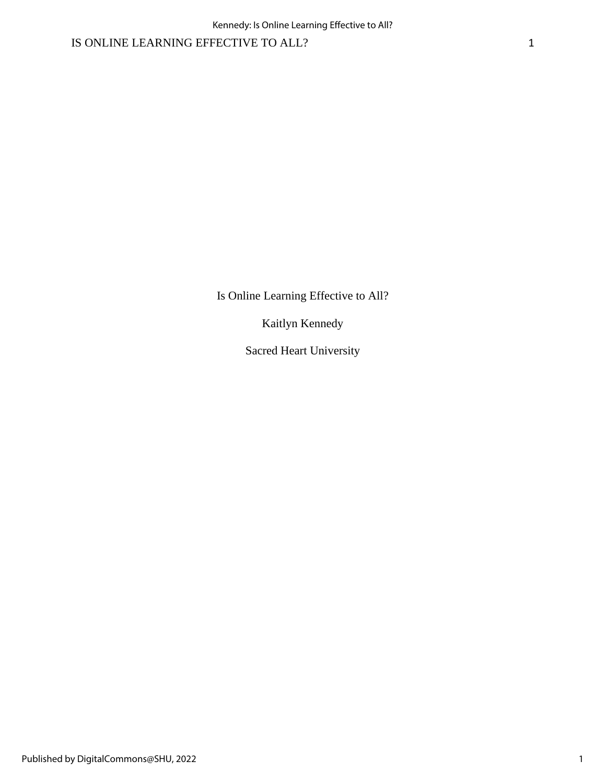Is Online Learning Effective to All?

Kaitlyn Kennedy

Sacred Heart University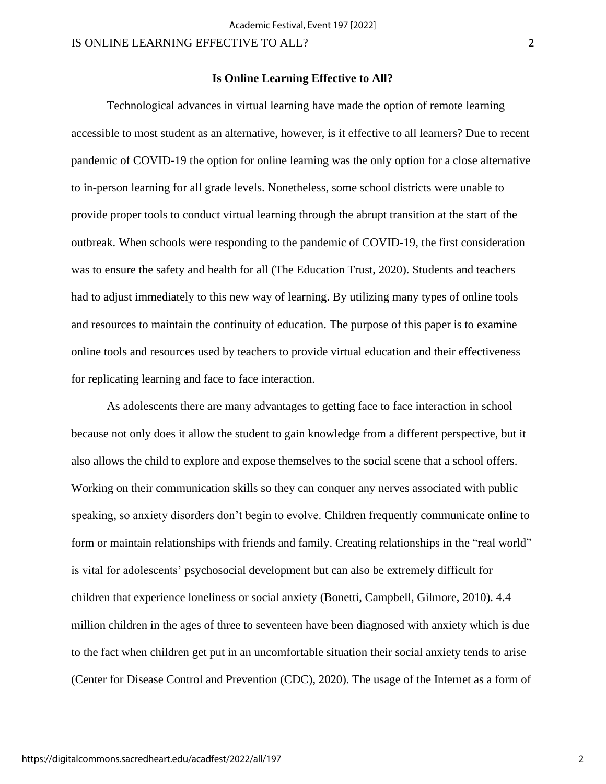### **Is Online Learning Effective to All?**

Technological advances in virtual learning have made the option of remote learning accessible to most student as an alternative, however, is it effective to all learners? Due to recent pandemic of COVID-19 the option for online learning was the only option for a close alternative to in-person learning for all grade levels. Nonetheless, some school districts were unable to provide proper tools to conduct virtual learning through the abrupt transition at the start of the outbreak. When schools were responding to the pandemic of COVID-19, the first consideration was to ensure the safety and health for all (The Education Trust, 2020). Students and teachers had to adjust immediately to this new way of learning. By utilizing many types of online tools and resources to maintain the continuity of education. The purpose of this paper is to examine online tools and resources used by teachers to provide virtual education and their effectiveness for replicating learning and face to face interaction.

As adolescents there are many advantages to getting face to face interaction in school because not only does it allow the student to gain knowledge from a different perspective, but it also allows the child to explore and expose themselves to the social scene that a school offers. Working on their communication skills so they can conquer any nerves associated with public speaking, so anxiety disorders don't begin to evolve. Children frequently communicate online to form or maintain relationships with friends and family. Creating relationships in the "real world" is vital for adolescents' psychosocial development but can also be extremely difficult for children that experience loneliness or social anxiety (Bonetti, Campbell, Gilmore, 2010). 4.4 million children in the ages of three to seventeen have been diagnosed with anxiety which is due to the fact when children get put in an uncomfortable situation their social anxiety tends to arise (Center for Disease Control and Prevention (CDC), 2020). The usage of the Internet as a form of

https://digitalcommons.sacredheart.edu/acadfest/2022/all/197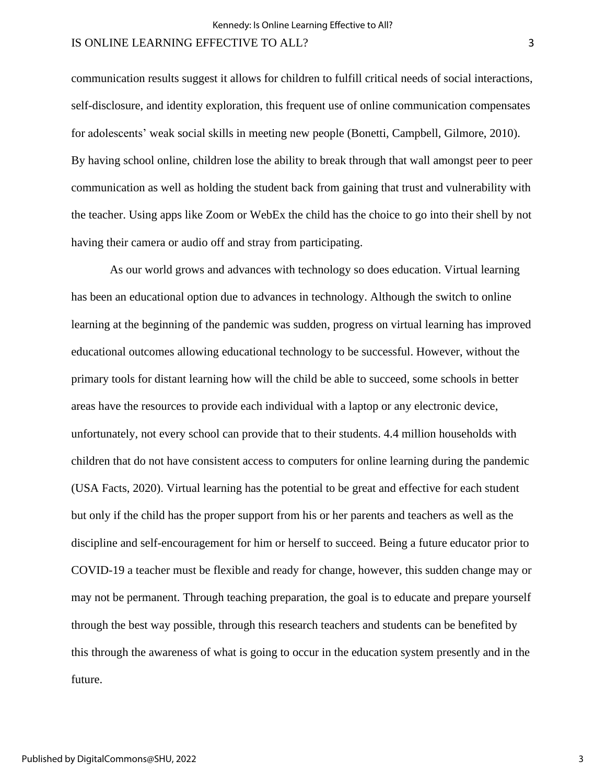communication results suggest it allows for children to fulfill critical needs of social interactions, self-disclosure, and identity exploration, this frequent use of online communication compensates for adolescents' weak social skills in meeting new people (Bonetti, Campbell, Gilmore, 2010). By having school online, children lose the ability to break through that wall amongst peer to peer communication as well as holding the student back from gaining that trust and vulnerability with the teacher. Using apps like Zoom or WebEx the child has the choice to go into their shell by not having their camera or audio off and stray from participating.

As our world grows and advances with technology so does education. Virtual learning has been an educational option due to advances in technology. Although the switch to online learning at the beginning of the pandemic was sudden, progress on virtual learning has improved educational outcomes allowing educational technology to be successful. However, without the primary tools for distant learning how will the child be able to succeed, some schools in better areas have the resources to provide each individual with a laptop or any electronic device, unfortunately, not every school can provide that to their students. 4.4 million households with children that do not have consistent access to computers for online learning during the pandemic (USA Facts, 2020). Virtual learning has the potential to be great and effective for each student but only if the child has the proper support from his or her parents and teachers as well as the discipline and self-encouragement for him or herself to succeed. Being a future educator prior to COVID-19 a teacher must be flexible and ready for change, however, this sudden change may or may not be permanent. Through teaching preparation, the goal is to educate and prepare yourself through the best way possible, through this research teachers and students can be benefited by this through the awareness of what is going to occur in the education system presently and in the future.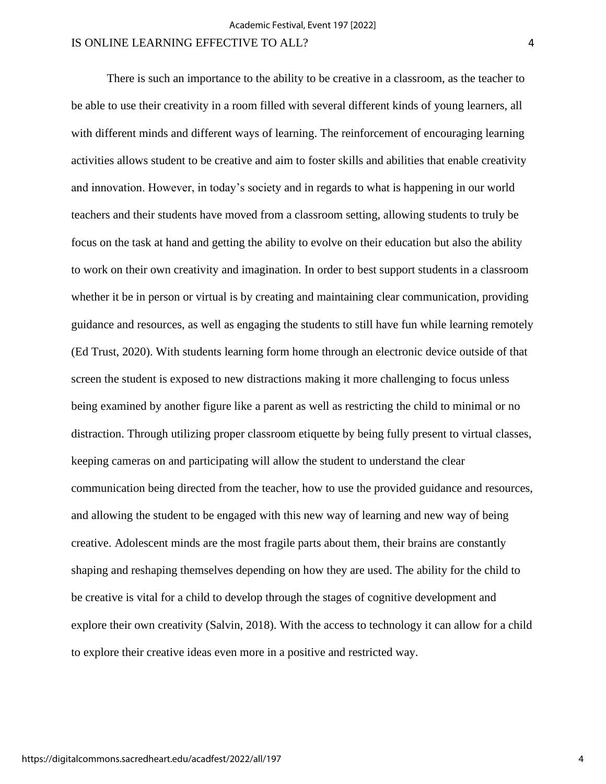There is such an importance to the ability to be creative in a classroom, as the teacher to be able to use their creativity in a room filled with several different kinds of young learners, all with different minds and different ways of learning. The reinforcement of encouraging learning activities allows student to be creative and aim to foster skills and abilities that enable creativity and innovation. However, in today's society and in regards to what is happening in our world teachers and their students have moved from a classroom setting, allowing students to truly be focus on the task at hand and getting the ability to evolve on their education but also the ability to work on their own creativity and imagination. In order to best support students in a classroom whether it be in person or virtual is by creating and maintaining clear communication, providing guidance and resources, as well as engaging the students to still have fun while learning remotely (Ed Trust, 2020). With students learning form home through an electronic device outside of that screen the student is exposed to new distractions making it more challenging to focus unless being examined by another figure like a parent as well as restricting the child to minimal or no distraction. Through utilizing proper classroom etiquette by being fully present to virtual classes, keeping cameras on and participating will allow the student to understand the clear communication being directed from the teacher, how to use the provided guidance and resources, and allowing the student to be engaged with this new way of learning and new way of being creative. Adolescent minds are the most fragile parts about them, their brains are constantly shaping and reshaping themselves depending on how they are used. The ability for the child to be creative is vital for a child to develop through the stages of cognitive development and explore their own creativity (Salvin, 2018). With the access to technology it can allow for a child to explore their creative ideas even more in a positive and restricted way.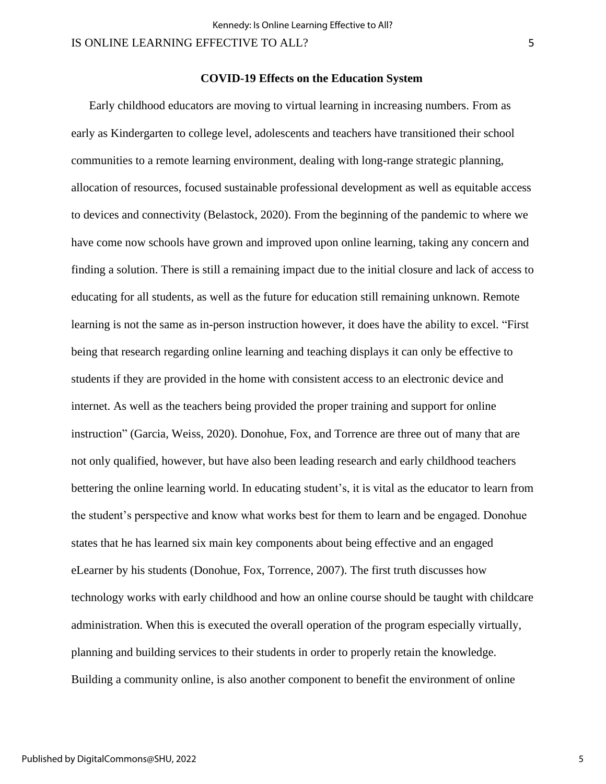### **COVID-19 Effects on the Education System**

Early childhood educators are moving to virtual learning in increasing numbers. From as early as Kindergarten to college level, adolescents and teachers have transitioned their school communities to a remote learning environment, dealing with long-range strategic planning, allocation of resources, focused sustainable professional development as well as equitable access to devices and connectivity (Belastock, 2020). From the beginning of the pandemic to where we have come now schools have grown and improved upon online learning, taking any concern and finding a solution. There is still a remaining impact due to the initial closure and lack of access to educating for all students, as well as the future for education still remaining unknown. Remote learning is not the same as in-person instruction however, it does have the ability to excel. "First being that research regarding online learning and teaching displays it can only be effective to students if they are provided in the home with consistent access to an electronic device and internet. As well as the teachers being provided the proper training and support for online instruction" (Garcia, Weiss, 2020). Donohue, Fox, and Torrence are three out of many that are not only qualified, however, but have also been leading research and early childhood teachers bettering the online learning world. In educating student's, it is vital as the educator to learn from the student's perspective and know what works best for them to learn and be engaged. Donohue states that he has learned six main key components about being effective and an engaged eLearner by his students (Donohue, Fox, Torrence, 2007). The first truth discusses how technology works with early childhood and how an online course should be taught with childcare administration. When this is executed the overall operation of the program especially virtually, planning and building services to their students in order to properly retain the knowledge. Building a community online, is also another component to benefit the environment of online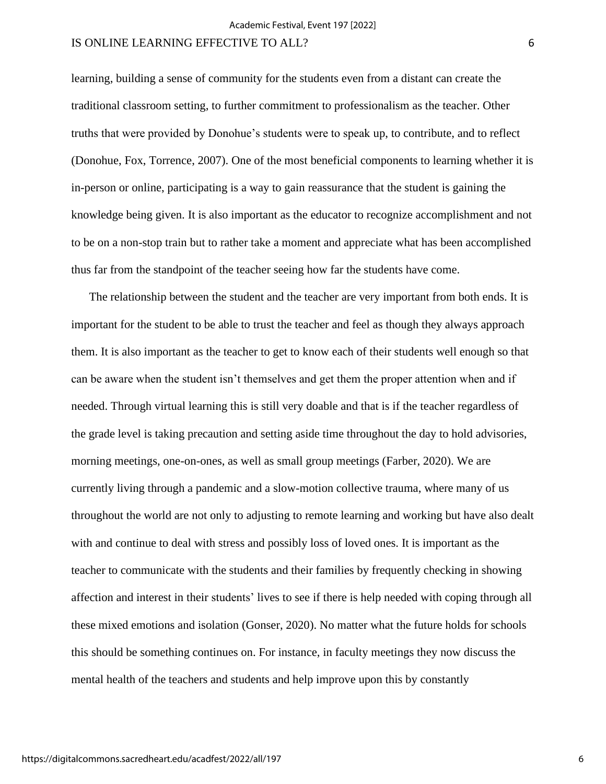learning, building a sense of community for the students even from a distant can create the traditional classroom setting, to further commitment to professionalism as the teacher. Other truths that were provided by Donohue's students were to speak up, to contribute, and to reflect (Donohue, Fox, Torrence, 2007). One of the most beneficial components to learning whether it is in-person or online, participating is a way to gain reassurance that the student is gaining the knowledge being given. It is also important as the educator to recognize accomplishment and not to be on a non-stop train but to rather take a moment and appreciate what has been accomplished thus far from the standpoint of the teacher seeing how far the students have come.

The relationship between the student and the teacher are very important from both ends. It is important for the student to be able to trust the teacher and feel as though they always approach them. It is also important as the teacher to get to know each of their students well enough so that can be aware when the student isn't themselves and get them the proper attention when and if needed. Through virtual learning this is still very doable and that is if the teacher regardless of the grade level is taking precaution and setting aside time throughout the day to hold advisories, morning meetings, one-on-ones, as well as small group meetings (Farber, 2020). We are currently living through a pandemic and a slow-motion collective trauma, where many of us throughout the world are not only to adjusting to remote learning and working but have also dealt with and continue to deal with stress and possibly loss of loved ones. It is important as the teacher to communicate with the students and their families by frequently checking in showing affection and interest in their students' lives to see if there is help needed with coping through all these mixed emotions and isolation (Gonser, 2020). No matter what the future holds for schools this should be something continues on. For instance, in faculty meetings they now discuss the mental health of the teachers and students and help improve upon this by constantly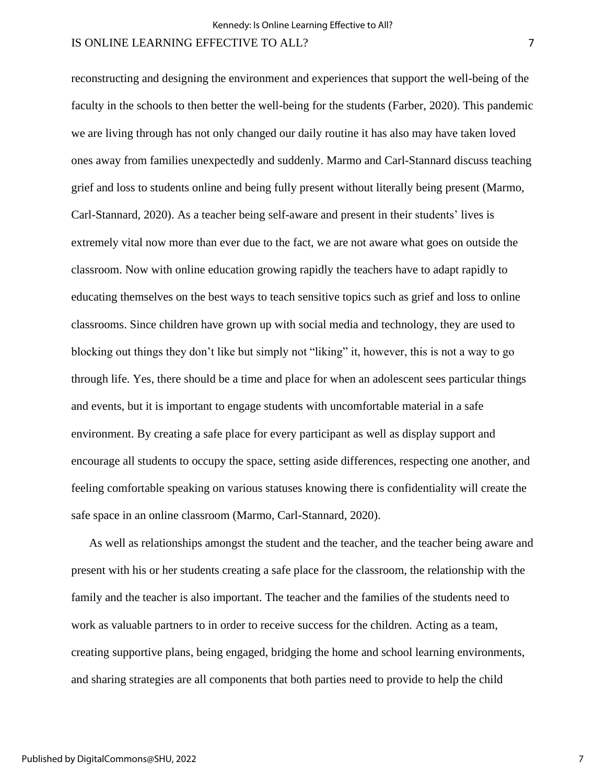reconstructing and designing the environment and experiences that support the well-being of the faculty in the schools to then better the well-being for the students (Farber, 2020). This pandemic we are living through has not only changed our daily routine it has also may have taken loved ones away from families unexpectedly and suddenly. Marmo and Carl-Stannard discuss teaching grief and loss to students online and being fully present without literally being present (Marmo, Carl-Stannard, 2020). As a teacher being self-aware and present in their students' lives is extremely vital now more than ever due to the fact, we are not aware what goes on outside the classroom. Now with online education growing rapidly the teachers have to adapt rapidly to educating themselves on the best ways to teach sensitive topics such as grief and loss to online classrooms. Since children have grown up with social media and technology, they are used to blocking out things they don't like but simply not "liking" it, however, this is not a way to go through life. Yes, there should be a time and place for when an adolescent sees particular things and events, but it is important to engage students with uncomfortable material in a safe environment. By creating a safe place for every participant as well as display support and encourage all students to occupy the space, setting aside differences, respecting one another, and feeling comfortable speaking on various statuses knowing there is confidentiality will create the safe space in an online classroom (Marmo, Carl-Stannard, 2020).

As well as relationships amongst the student and the teacher, and the teacher being aware and present with his or her students creating a safe place for the classroom, the relationship with the family and the teacher is also important. The teacher and the families of the students need to work as valuable partners to in order to receive success for the children. Acting as a team, creating supportive plans, being engaged, bridging the home and school learning environments, and sharing strategies are all components that both parties need to provide to help the child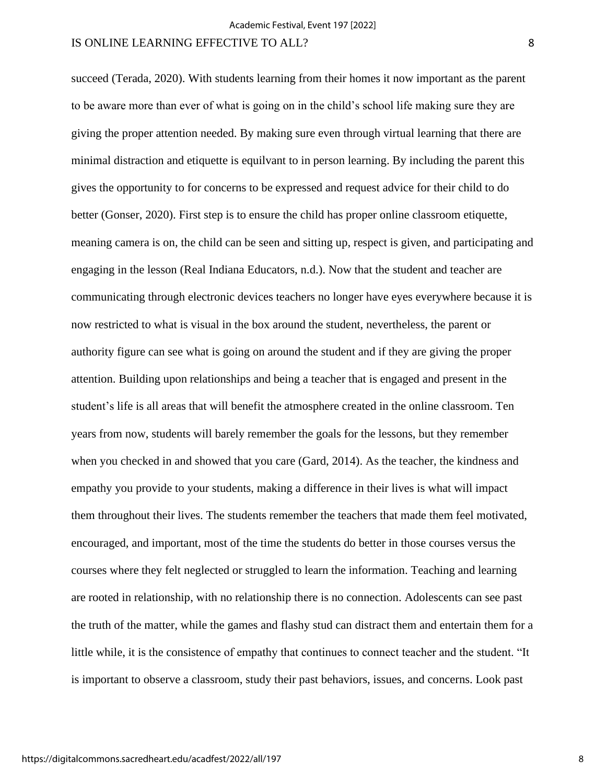succeed (Terada, 2020). With students learning from their homes it now important as the parent to be aware more than ever of what is going on in the child's school life making sure they are giving the proper attention needed. By making sure even through virtual learning that there are minimal distraction and etiquette is equilvant to in person learning. By including the parent this gives the opportunity to for concerns to be expressed and request advice for their child to do better (Gonser, 2020). First step is to ensure the child has proper online classroom etiquette, meaning camera is on, the child can be seen and sitting up, respect is given, and participating and engaging in the lesson (Real Indiana Educators, n.d.). Now that the student and teacher are communicating through electronic devices teachers no longer have eyes everywhere because it is now restricted to what is visual in the box around the student, nevertheless, the parent or authority figure can see what is going on around the student and if they are giving the proper attention. Building upon relationships and being a teacher that is engaged and present in the student's life is all areas that will benefit the atmosphere created in the online classroom. Ten years from now, students will barely remember the goals for the lessons, but they remember when you checked in and showed that you care (Gard, 2014). As the teacher, the kindness and empathy you provide to your students, making a difference in their lives is what will impact them throughout their lives. The students remember the teachers that made them feel motivated, encouraged, and important, most of the time the students do better in those courses versus the courses where they felt neglected or struggled to learn the information. Teaching and learning are rooted in relationship, with no relationship there is no connection. Adolescents can see past the truth of the matter, while the games and flashy stud can distract them and entertain them for a little while, it is the consistence of empathy that continues to connect teacher and the student. "It is important to observe a classroom, study their past behaviors, issues, and concerns. Look past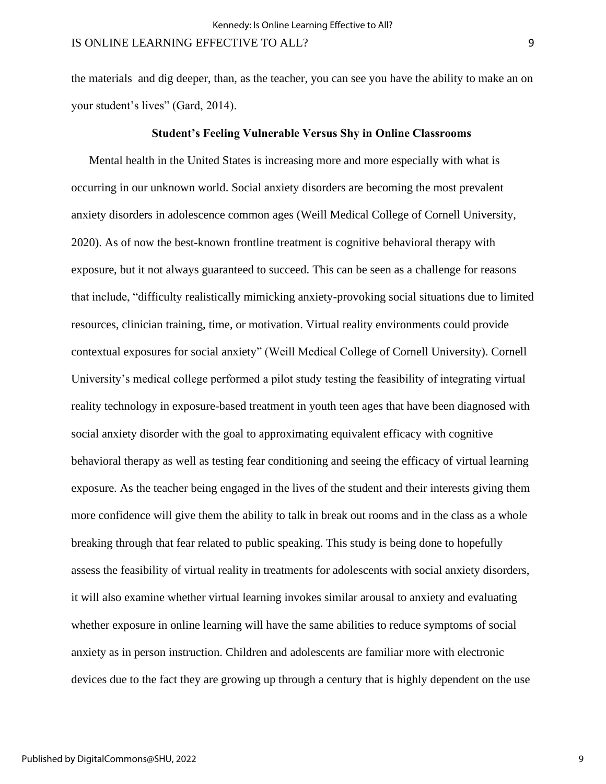the materials and dig deeper, than, as the teacher, you can see you have the ability to make an on your student's lives" (Gard, 2014).

#### **Student's Feeling Vulnerable Versus Shy in Online Classrooms**

Mental health in the United States is increasing more and more especially with what is occurring in our unknown world. Social anxiety disorders are becoming the most prevalent anxiety disorders in adolescence common ages (Weill Medical College of Cornell University, 2020). As of now the best-known frontline treatment is cognitive behavioral therapy with exposure, but it not always guaranteed to succeed. This can be seen as a challenge for reasons that include, "difficulty realistically mimicking anxiety-provoking social situations due to limited resources, clinician training, time, or motivation. Virtual reality environments could provide contextual exposures for social anxiety" (Weill Medical College of Cornell University). Cornell University's medical college performed a pilot study testing the feasibility of integrating virtual reality technology in exposure-based treatment in youth teen ages that have been diagnosed with social anxiety disorder with the goal to approximating equivalent efficacy with cognitive behavioral therapy as well as testing fear conditioning and seeing the efficacy of virtual learning exposure. As the teacher being engaged in the lives of the student and their interests giving them more confidence will give them the ability to talk in break out rooms and in the class as a whole breaking through that fear related to public speaking. This study is being done to hopefully assess the feasibility of virtual reality in treatments for adolescents with social anxiety disorders, it will also examine whether virtual learning invokes similar arousal to anxiety and evaluating whether exposure in online learning will have the same abilities to reduce symptoms of social anxiety as in person instruction. Children and adolescents are familiar more with electronic devices due to the fact they are growing up through a century that is highly dependent on the use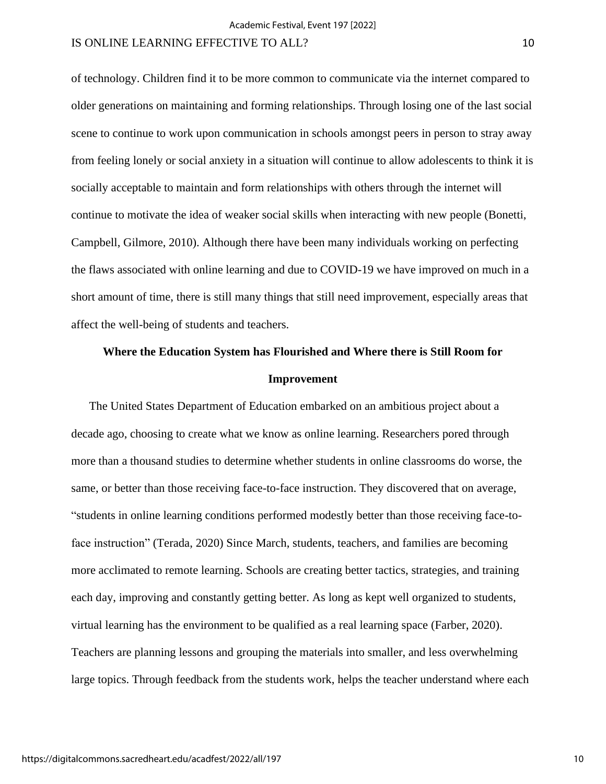of technology. Children find it to be more common to communicate via the internet compared to older generations on maintaining and forming relationships. Through losing one of the last social scene to continue to work upon communication in schools amongst peers in person to stray away from feeling lonely or social anxiety in a situation will continue to allow adolescents to think it is socially acceptable to maintain and form relationships with others through the internet will continue to motivate the idea of weaker social skills when interacting with new people (Bonetti, Campbell, Gilmore, 2010). Although there have been many individuals working on perfecting the flaws associated with online learning and due to COVID-19 we have improved on much in a short amount of time, there is still many things that still need improvement, especially areas that affect the well-being of students and teachers.

# **Where the Education System has Flourished and Where there is Still Room for Improvement**

The United States Department of Education embarked on an ambitious project about a decade ago, choosing to create what we know as online learning. Researchers pored through more than a thousand studies to determine whether students in online classrooms do worse, the same, or better than those receiving face-to-face instruction. They discovered that on average, "students in online learning conditions performed modestly better than those receiving face-toface instruction" (Terada, 2020) Since March, students, teachers, and families are becoming more acclimated to remote learning. Schools are creating better tactics, strategies, and training each day, improving and constantly getting better. As long as kept well organized to students, virtual learning has the environment to be qualified as a real learning space (Farber, 2020). Teachers are planning lessons and grouping the materials into smaller, and less overwhelming large topics. Through feedback from the students work, helps the teacher understand where each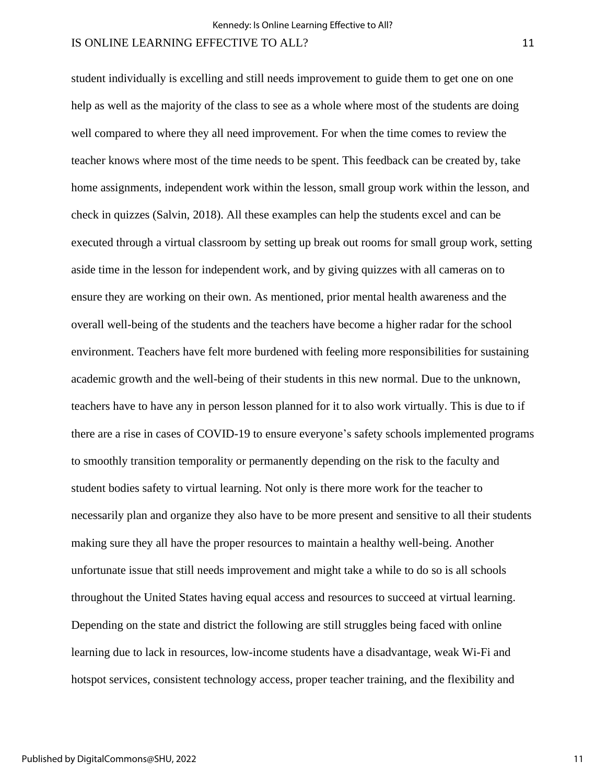student individually is excelling and still needs improvement to guide them to get one on one help as well as the majority of the class to see as a whole where most of the students are doing well compared to where they all need improvement. For when the time comes to review the teacher knows where most of the time needs to be spent. This feedback can be created by, take home assignments, independent work within the lesson, small group work within the lesson, and check in quizzes (Salvin, 2018). All these examples can help the students excel and can be executed through a virtual classroom by setting up break out rooms for small group work, setting aside time in the lesson for independent work, and by giving quizzes with all cameras on to ensure they are working on their own. As mentioned, prior mental health awareness and the overall well-being of the students and the teachers have become a higher radar for the school environment. Teachers have felt more burdened with feeling more responsibilities for sustaining academic growth and the well-being of their students in this new normal. Due to the unknown, teachers have to have any in person lesson planned for it to also work virtually. This is due to if there are a rise in cases of COVID-19 to ensure everyone's safety schools implemented programs to smoothly transition temporality or permanently depending on the risk to the faculty and student bodies safety to virtual learning. Not only is there more work for the teacher to necessarily plan and organize they also have to be more present and sensitive to all their students making sure they all have the proper resources to maintain a healthy well-being. Another unfortunate issue that still needs improvement and might take a while to do so is all schools throughout the United States having equal access and resources to succeed at virtual learning. Depending on the state and district the following are still struggles being faced with online learning due to lack in resources, low-income students have a disadvantage, weak Wi-Fi and hotspot services, consistent technology access, proper teacher training, and the flexibility and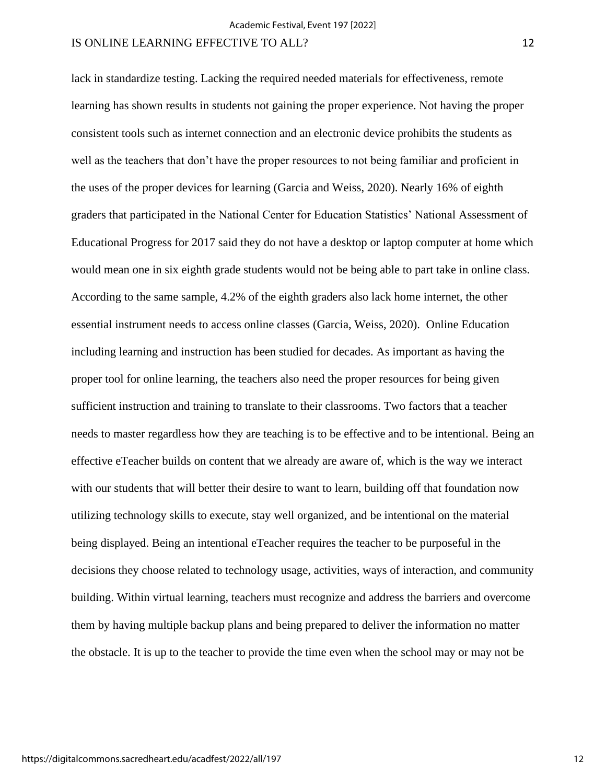lack in standardize testing. Lacking the required needed materials for effectiveness, remote learning has shown results in students not gaining the proper experience. Not having the proper consistent tools such as internet connection and an electronic device prohibits the students as well as the teachers that don't have the proper resources to not being familiar and proficient in the uses of the proper devices for learning (Garcia and Weiss, 2020). Nearly 16% of eighth graders that participated in the National Center for Education Statistics' National Assessment of Educational Progress for 2017 said they do not have a desktop or laptop computer at home which would mean one in six eighth grade students would not be being able to part take in online class. According to the same sample, 4.2% of the eighth graders also lack home internet, the other essential instrument needs to access online classes (Garcia, Weiss, 2020). Online Education including learning and instruction has been studied for decades. As important as having the proper tool for online learning, the teachers also need the proper resources for being given sufficient instruction and training to translate to their classrooms. Two factors that a teacher needs to master regardless how they are teaching is to be effective and to be intentional. Being an effective eTeacher builds on content that we already are aware of, which is the way we interact with our students that will better their desire to want to learn, building off that foundation now utilizing technology skills to execute, stay well organized, and be intentional on the material being displayed. Being an intentional eTeacher requires the teacher to be purposeful in the decisions they choose related to technology usage, activities, ways of interaction, and community building. Within virtual learning, teachers must recognize and address the barriers and overcome them by having multiple backup plans and being prepared to deliver the information no matter the obstacle. It is up to the teacher to provide the time even when the school may or may not be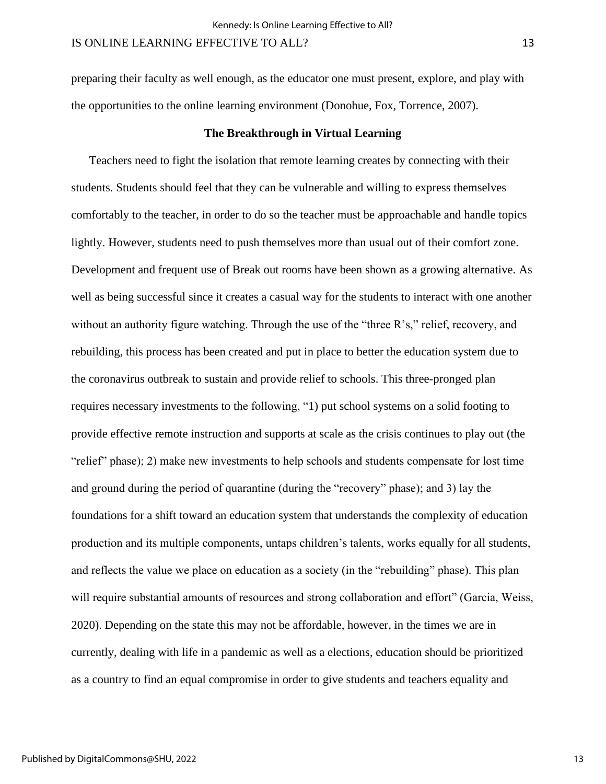preparing their faculty as well enough, as the educator one must present, explore, and play with the opportunities to the online learning environment (Donohue, Fox, Torrence, 2007).

### **The Breakthrough in Virtual Learning**

Teachers need to fight the isolation that remote learning creates by connecting with their students. Students should feel that they can be vulnerable and willing to express themselves comfortably to the teacher, in order to do so the teacher must be approachable and handle topics lightly. However, students need to push themselves more than usual out of their comfort zone. Development and frequent use of Break out rooms have been shown as a growing alternative. As well as being successful since it creates a casual way for the students to interact with one another without an authority figure watching. Through the use of the "three R's," relief, recovery, and rebuilding, this process has been created and put in place to better the education system due to the coronavirus outbreak to sustain and provide relief to schools. This three-pronged plan requires necessary investments to the following, "1) put school systems on a solid footing to provide effective remote instruction and supports at scale as the crisis continues to play out (the "relief" phase); 2) make new investments to help schools and students compensate for lost time and ground during the period of quarantine (during the "recovery" phase); and 3) lay the foundations for a shift toward an education system that understands the complexity of education production and its multiple components, untaps children's talents, works equally for all students, and reflects the value we place on education as a society (in the "rebuilding" phase). This plan will require substantial amounts of resources and strong collaboration and effort" (Garcia, Weiss, 2020). Depending on the state this may not be affordable, however, in the times we are in currently, dealing with life in a pandemic as well as a elections, education should be prioritized as a country to find an equal compromise in order to give students and teachers equality and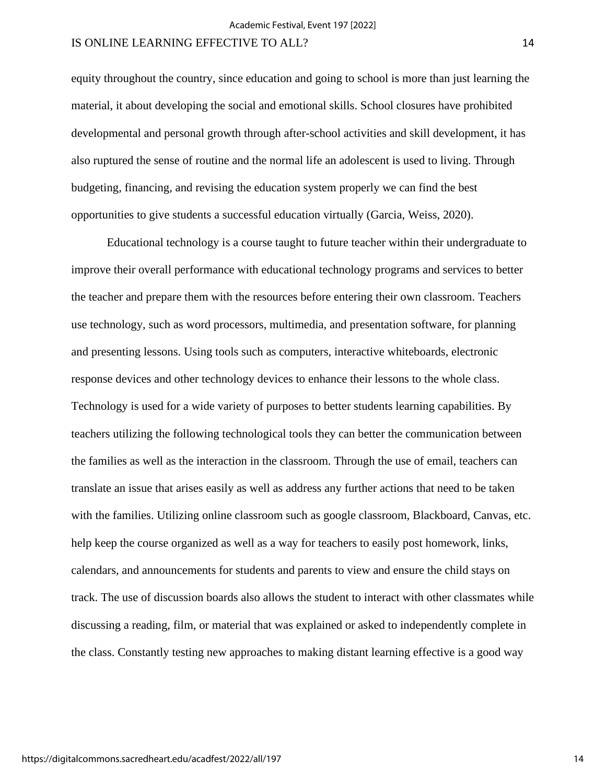equity throughout the country, since education and going to school is more than just learning the material, it about developing the social and emotional skills. School closures have prohibited developmental and personal growth through after-school activities and skill development, it has also ruptured the sense of routine and the normal life an adolescent is used to living. Through budgeting, financing, and revising the education system properly we can find the best opportunities to give students a successful education virtually (Garcia, Weiss, 2020).

Educational technology is a course taught to future teacher within their undergraduate to improve their overall performance with educational technology programs and services to better the teacher and prepare them with the resources before entering their own classroom. Teachers use technology, such as word processors, multimedia, and presentation software, for planning and presenting lessons. Using tools such as computers, interactive whiteboards, electronic response devices and other technology devices to enhance their lessons to the whole class. Technology is used for a wide variety of purposes to better students learning capabilities. By teachers utilizing the following technological tools they can better the communication between the families as well as the interaction in the classroom. Through the use of email, teachers can translate an issue that arises easily as well as address any further actions that need to be taken with the families. Utilizing online classroom such as google classroom, Blackboard, Canvas, etc. help keep the course organized as well as a way for teachers to easily post homework, links, calendars, and announcements for students and parents to view and ensure the child stays on track. The use of discussion boards also allows the student to interact with other classmates while discussing a reading, film, or material that was explained or asked to independently complete in the class. Constantly testing new approaches to making distant learning effective is a good way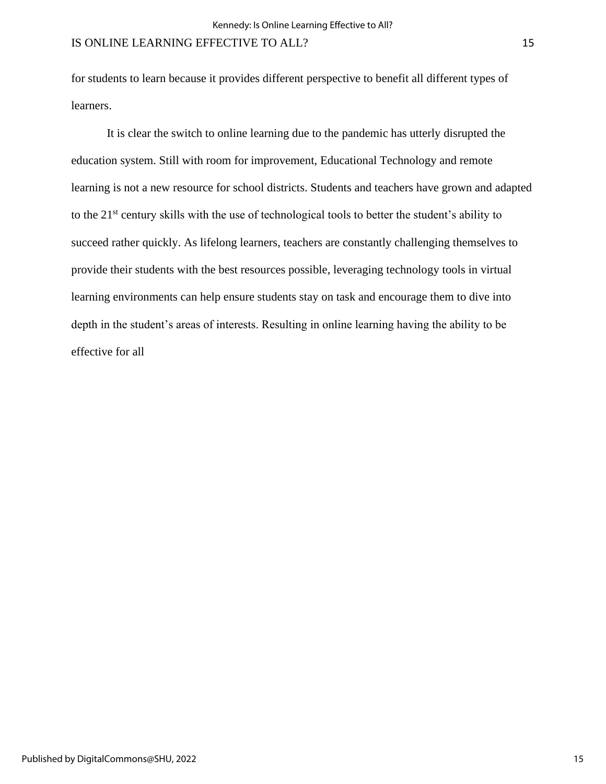for students to learn because it provides different perspective to benefit all different types of learners.

It is clear the switch to online learning due to the pandemic has utterly disrupted the education system. Still with room for improvement, Educational Technology and remote learning is not a new resource for school districts. Students and teachers have grown and adapted to the 21<sup>st</sup> century skills with the use of technological tools to better the student's ability to succeed rather quickly. As lifelong learners, teachers are constantly challenging themselves to provide their students with the best resources possible, leveraging technology tools in virtual learning environments can help ensure students stay on task and encourage them to dive into depth in the student's areas of interests. Resulting in online learning having the ability to be effective for all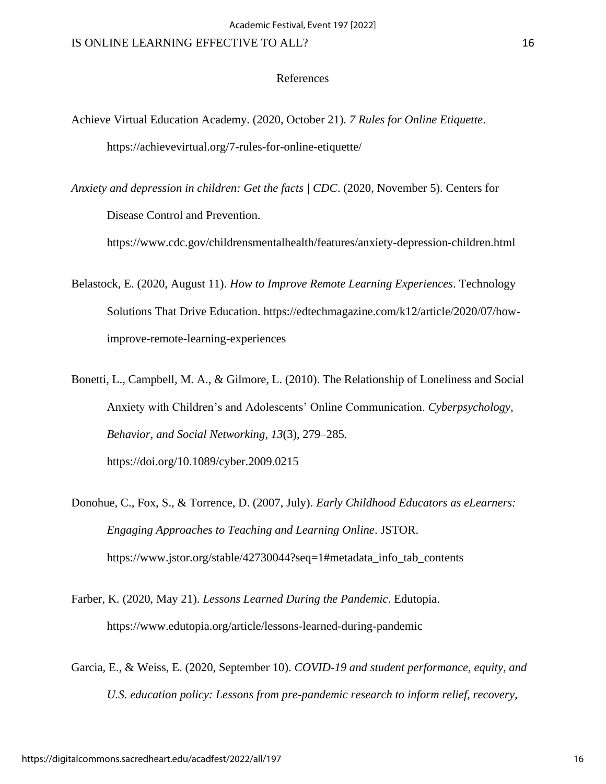### References

- Achieve Virtual Education Academy. (2020, October 21). *7 Rules for Online Etiquette*. https://achievevirtual.org/7-rules-for-online-etiquette/
- *Anxiety and depression in children: Get the facts | CDC*. (2020, November 5). Centers for Disease Control and Prevention.

https://www.cdc.gov/childrensmentalhealth/features/anxiety-depression-children.html

- Belastock, E. (2020, August 11). *How to Improve Remote Learning Experiences*. Technology Solutions That Drive Education. [https://edtechmagazine.com/k12/article/2020/07/how](https://edtechmagazine.com/k12/article/2020/07/how-improve-remote-learning-experiences)[improve-remote-learning-experiences](https://edtechmagazine.com/k12/article/2020/07/how-improve-remote-learning-experiences)
- Bonetti, L., Campbell, M. A., & Gilmore, L. (2010). The Relationship of Loneliness and Social Anxiety with Children's and Adolescents' Online Communication. *Cyberpsychology, Behavior, and Social Networking*, *13*(3), 279–285. https://doi.org/10.1089/cyber.2009.0215
- Donohue, C., Fox, S., & Torrence, D. (2007, July). *Early Childhood Educators as eLearners: Engaging Approaches to Teaching and Learning Online*. JSTOR. https://www.jstor.org/stable/42730044?seq=1#metadata\_info\_tab\_contents
- Farber, K. (2020, May 21). *Lessons Learned During the Pandemic*. Edutopia. https://www.edutopia.org/article/lessons-learned-during-pandemic
- Garcia, E., & Weiss, E. (2020, September 10). *COVID-19 and student performance, equity, and U.S. education policy: Lessons from pre-pandemic research to inform relief, recovery,*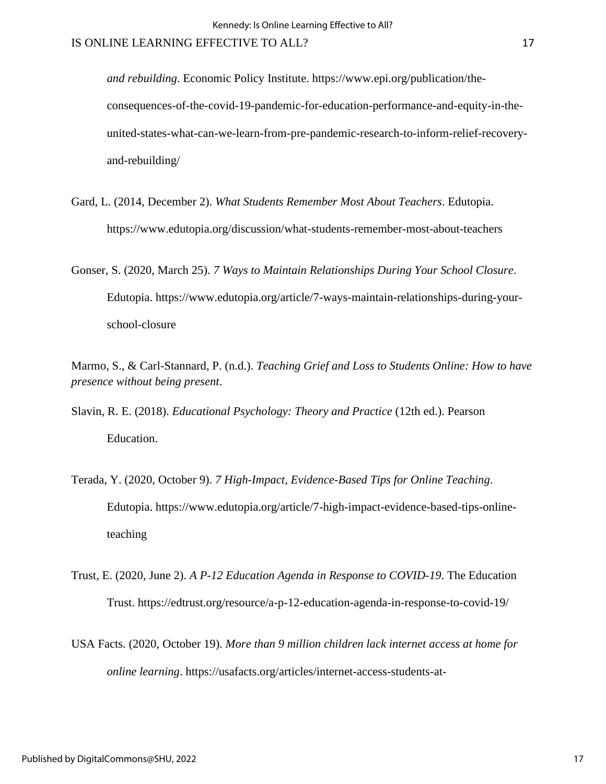*and rebuilding*. Economic Policy Institute. https://www.epi.org/publication/theconsequences-of-the-covid-19-pandemic-for-education-performance-and-equity-in-theunited-states-what-can-we-learn-from-pre-pandemic-research-to-inform-relief-recoveryand-rebuilding/

- Gard, L. (2014, December 2). *What Students Remember Most About Teachers*. Edutopia. https://www.edutopia.org/discussion/what-students-remember-most-about-teachers
- Gonser, S. (2020, March 25). *7 Ways to Maintain Relationships During Your School Closure*. Edutopia. https://www.edutopia.org/article/7-ways-maintain-relationships-during-yourschool-closure
- Marmo, S., & Carl-Stannard, P. (n.d.). *Teaching Grief and Loss to Students Online: How to have presence without being present*.
- Slavin, R. E. (2018). *Educational Psychology: Theory and Practice* (12th ed.). Pearson Education.
- Terada, Y. (2020, October 9). *7 High-Impact, Evidence-Based Tips for Online Teaching*. Edutopia. https://www.edutopia.org/article/7-high-impact-evidence-based-tips-onlineteaching
- Trust, E. (2020, June 2). *A P-12 Education Agenda in Response to COVID-19*. The Education Trust. https://edtrust.org/resource/a-p-12-education-agenda-in-response-to-covid-19/
- USA Facts. (2020, October 19). *More than 9 million children lack internet access at home for online learning*. https://usafacts.org/articles/internet-access-students-at-